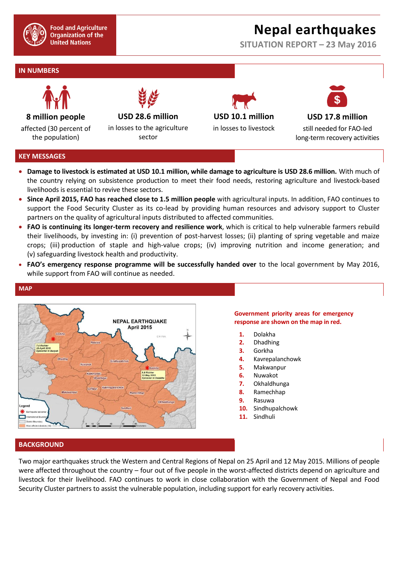

**Food and Agriculture Organization of the United Nations** 

# **Nepal earthquakes**

**SITUATION REPORT – 23 May 2016**

# **IN NUMBERS**



**8 million people**

affected (30 percent of the population)

**USD 28.6 million**

in losses to the agriculture sector





**USD 17.8 million** still needed for FAO-led long-term recovery activities

# **KEY MESSAGES**

**MAP**

- **Damage to livestock is estimated at USD 10.1 million, while damage to agriculture is USD 28.6 million.** With much of the country relying on subsistence production to meet their food needs, restoring agriculture and livestock-based livelihoods is essential to revive these sectors.
- **Since April 2015, FAO has reached close to 1.5 million people** with agricultural inputs. In addition, FAO continues to support the Food Security Cluster as its co-lead by providing human resources and advisory support to Cluster partners on the quality of agricultural inputs distributed to affected communities.
- **FAO is continuing its longer-term recovery and resilience work**, which is critical to help vulnerable farmers rebuild their livelihoods, by investing in: (i) prevention of post-harvest losses; (ii) planting of spring vegetable and maize crops; (iii) production of staple and high-value crops; (iv) improving nutrition and income generation; and (v) safeguarding livestock health and productivity.
- **FAO's emergency response programme will be successfully handed over** to the local government by May 2016, while support from FAO will continue as needed.



# **Government priority areas for emergency response are shown on the map in red.**

- **1.** Dolakha
- **2.** Dhadhing
- **3.** Gorkha
- **4.** Kavrepalanchowk
- **5.** Makwanpur
- **6.** Nuwakot
- **7.** Okhaldhunga
- **8.** Ramechhap
- **9.** Rasuwa
- **10.** Sindhupalchowk
- **11.** Sindhuli

# **BACKGROUND**

Two major earthquakes struck the Western and Central Regions of Nepal on 25 April and 12 May 2015. Millions of people were affected throughout the country – four out of five people in the worst-affected districts depend on agriculture and livestock for their livelihood. FAO continues to work in close collaboration with the Government of Nepal and Food Security Cluster partners to assist the vulnerable population, including support for early recovery activities.